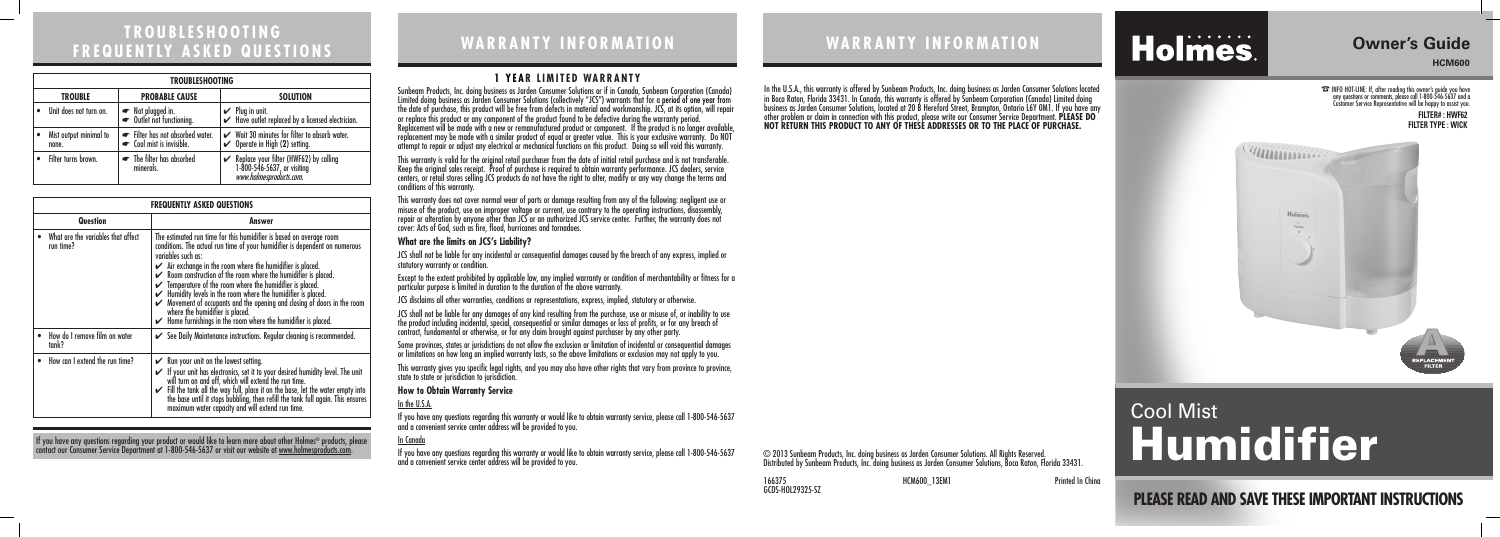# **WARRANTY INFORMATION**

#### **1 YEAR LIMITED WARRANTY**

Printed In China

# **TROUBLESHOOTING FREQUENTLY ASKED QUESTIONS WARRANTY INFORMATION**

© 2013 Sunbeam Products, Inc. doing business as Jarden Consumer Solutions. All Rights Reserved. Distributed by Sunbeam Products, Inc. doing business as Jarden Consumer Solutions, Boca Raton, Florida 33431.

In the U.S.A., this warranty is offered by Sunbeam Products, Inc. doing business as Jarden Consumer Solutions located in Boca Raton, Florida 33431. In Canada, this warranty is offered by Sunbeam Corporation (Canada) Limited doing business as Jarden Consumer Solutions, located at 20 B Hereford Street, Brampton, Ontario L6Y 0M1. If you have any other problem or claim in connection with this product, please write our Consumer Service Department. **PLEASE DO NOT RETURN THIS PRODUCT TO ANY OF THESE ADDRESSES OR TO THE PLACE OF PURCHASE.** 

JCS shall not be liable for any incidental or consequential damages caused by the breach of any express, implied or statutory warranty or condition.

Sunbeam Products, Inc. doing business as Jarden Consumer Solutions or if in Canada, Sunbeam Corporation (Canada) Limited doing business as Jarden Consumer Solutions (collectively "JCS") warrants that for a period of one year from the date of purchase, this product will be free from defects in material and workmanship. JCS, at its option, will repair or replace this product or any component of the product found to be defective during the warranty period. Replacement will be made with a new or remanufactured product or component. If the product is no longer available, replacement may be made with a similar product of equal or greater value. This is your exclusive warranty. Do NOT attempt to repair or adjust any electrical or mechanical functions on this product. Doing so will void this warranty.

This warranty is valid for the original retail purchaser from the date of initial retail purchase and is not transferable. Keep the original sales receipt. Proof of purchase is required to obtain warranty performance. JCS dealers, service centers, or retail stores selling JCS products do not have the right to alter, modify or any way change the terms and conditions of this warranty.

This warranty does not cover normal wear of parts or damage resulting from any of the following: negligent use or misuse of the product, use on improper voltage or current, use contrary to the operating instructions, disassembly, repair or alteration by anyone other than JCS or an authorized JCS service center. Further, the warranty does not cover: Acts of God, such as fire, flood, hurricanes and tornadoes.

#### **What are the limits on JCS's Liability?**

Except to the extent prohibited by applicable law, any implied warranty or condition of merchantability or fitness for a particular purpose is limited in duration to the duration of the above warranty.

JCS disclaims all other warranties, conditions or representations, express, implied, statutory or otherwise.

If you have any questions regarding your product or would like to learn more about other Holmes® products, please contact our Consumer Service Department at 1-800-546-5637 or visit our website at www.holmesproducts.com.

JCS shall not be liable for any damages of any kind resulting from the purchase, use or misuse of, or inability to use the product including incidental, special, consequential or similar damages or loss of profits, or for any breach of contract, fundamental or otherwise, or for any claim brought against purchaser by any other party.

Some provinces, states or jurisdictions do not allow the exclusion or limitation of incidental or consequential damages or limitations on how long an implied warranty lasts, so the above limitations or exclusion may not apply to you.

This warranty gives you specific legal rights, and you may also have other rights that vary from province to province, state to state or jurisdiction to jurisdiction.

#### **How to Obtain Warranty Service**

#### In the U.S.A.

If you have any questions regarding this warranty or would like to obtain warranty service, please call 1-800-546-5637 and a convenient service center address will be provided to you.

#### In Canada

If you have any questions regarding this warranty or would like to obtain warranty service, please call 1-800-546-5637 and a convenient service center address will be provided to you.

| <b>FREQUENTLY ASKED QUESTIONS</b>               |                                                                                                                                                                                                                                                                                                                                                                                                                                                                                                                                                                                                                                                                         |  |
|-------------------------------------------------|-------------------------------------------------------------------------------------------------------------------------------------------------------------------------------------------------------------------------------------------------------------------------------------------------------------------------------------------------------------------------------------------------------------------------------------------------------------------------------------------------------------------------------------------------------------------------------------------------------------------------------------------------------------------------|--|
| Question                                        | Answer                                                                                                                                                                                                                                                                                                                                                                                                                                                                                                                                                                                                                                                                  |  |
| What are the variables that affect<br>run time? | The estimated run time for this humidifier is based on average room<br>conditions. The actual run time of your humidifier is dependent on numerous<br>variables such as:<br>$\blacktriangleright$ Air exchange in the room where the humiditier is placed.<br>$\swarrow$ Room construction of the room where the humidifier is placed.<br>$\checkmark$ Temperature of the room where the humidifier is placed.<br>Humidity levels in the room where the humidifier is placed.<br>Movement of occupants and the opening and closing of doors in the room<br>where the humidifier is placed.<br>$\checkmark$ Home furnishings in the room where the humidifier is placed. |  |
| How do I remove film on water<br>tank?          | See Daily Maintenance instructions. Regular cleaning is recommended.                                                                                                                                                                                                                                                                                                                                                                                                                                                                                                                                                                                                    |  |
| How can I extend the run time?                  | $\swarrow$ Run your unit on the lowest setting.<br>If your unit has electronics, set it to your desired humidity level. The unit<br>will turn on and off, which will extend the run time.<br>Fill the tank all the way full, place it on the base, let the water empty into<br>the base until it stops bubbling, then refill the tank full again. This ensures maximum water capacity and will extend run time.                                                                                                                                                                                                                                                         |  |

| <b>TROUBLESHOOTING</b>          |                                                           |                                                                                                          |
|---------------------------------|-----------------------------------------------------------|----------------------------------------------------------------------------------------------------------|
| <b>TROUBLE</b>                  | <b>PROBABLE CAUSE</b>                                     | <b>SOLUTION</b>                                                                                          |
| Unit does not turn on.          | • Not plugged in.<br>• Outlet not functioning.            | $\mathcal V$ Plug in unit.<br>$\checkmark$ Have outlet replaced by a licensed electrician.               |
| Mist output minimal to<br>none. | Filter has not absorbed water.<br>cool mist is invisible. | Wait 30 minutes for filter to absorb water.<br>$\checkmark$ Operate in High (2) setting.                 |
| Filter turns brown.             | • The filter has absorbed<br>minerals.                    | Replace your filter (HWF62) by calling<br>1-800-546-5637, or visiting<br><i>www.holmesproducts.com</i> . |

# **Owner's Guide**

**HCM600**

☎ INFO HOT-LINE: If, after reading this owner's guide you have any questions or comments, please call 1-800-546-5637 and a Customer Service Representative will be happy to assist you.

# Cool Mist Humidifier

Holmes.

**FILTER# : HWF62 FILTER TYPE : WICK**



**PLEASE READ AND SAVE THESE IMPORTANT INSTRUCTIONS**

166375 HCM600\_13EM1 GCDS-HOL29325-SZ